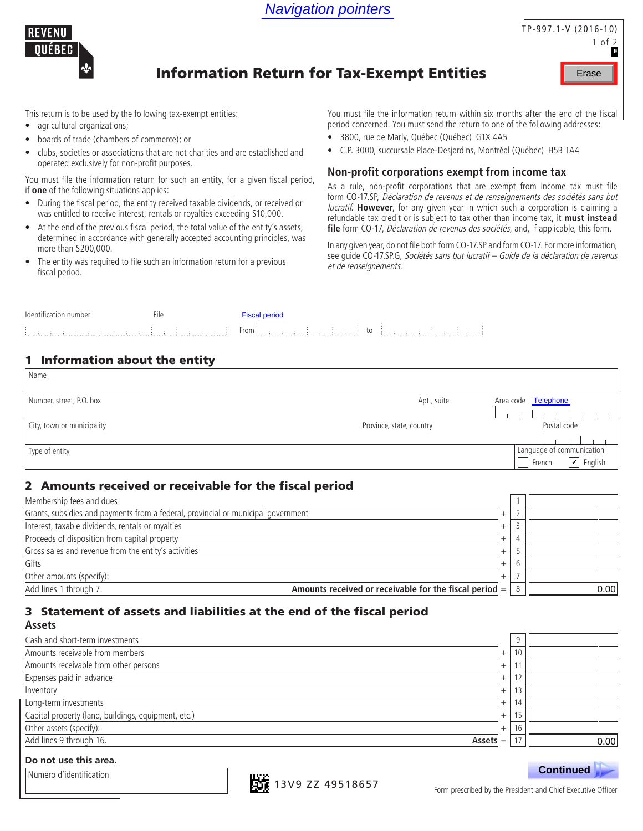

## TP-997.1-V (2016-10) 1 of 2 Erase **E**

# Information Return for Tax-Exempt Entities

This return is to be used by the following tax-exempt entities:

- agricultural organizations;
- boards of trade (chambers of commerce); or
- clubs, societies or associations that are not charities and are established and operated exclusively for non-profit purposes.

You must file the information return for such an entity, for a given fiscal period, if **one** of the following situations applies:

- During the fiscal period, the entity received taxable dividends, or received or was entitled to receive interest, rentals or royalties exceeding \$10,000.
- At the end of the previous fiscal period, the total value of the entity's assets, determined in accordance with generally accepted accounting principles, was more than \$200,000.
- The entity was required to file such an information return for a previous fiscal period.

You must file the information return within six months after the end of the fiscal period concerned. You must send the return to one of the following addresses:

- 3800, rue de Marly, Québec (Québec) G1X 4A5
- C.P. 3000, succursale Place-Desjardins, Montréal (Québec) H5B 1A4

#### **Non-profit corporations exempt from income tax**

As a rule, non-profit corporations that are exempt from income tax must file form CO-17.SP, Déclaration de revenus et de renseignements des sociétés sans but lucratif. **However**, for any given year in which such a corporation is claiming a refundable tax credit or is subject to tax other than income tax, it **must instead**  file form CO-17, *Déclaration de revenus des sociétés*, and, if applicable, this form. **Navigation pointers**<br> **TP-997.1-1**<br> **Return for Tax-Exempt Entities**<br>
You must file the information return within six months after the energied concerned. You must send the return to one of the following a<br>  $\bullet$  3800, th

In any given year, do not file both form CO-17.SP and form CO-17. For more information, see guide CO-17.SP.G, Sociétés sans but lucratif – Guide de la déclaration de revenus et de renseignements.

| -      |      |   |
|--------|------|---|
| $\sim$ | -rom | w |

## 1 Information about the entity

Numéro d'identification

| Name                       |                          |                                                                     |
|----------------------------|--------------------------|---------------------------------------------------------------------|
| Number, street, P.O. box   | Apt., suite              | Area code Telephone                                                 |
| City, town or municipality | Province, state, country | Postal code                                                         |
| Type of entity             |                          | Language of communication<br>$\boxed{\checkmark}$ English<br>French |

## 2 Amounts received or receivable for the fiscal period

| Membership fees and dues                                                                   |  |      |
|--------------------------------------------------------------------------------------------|--|------|
| Grants, subsidies and payments from a federal, provincial or municipal government          |  |      |
| Interest, taxable dividends, rentals or royalties                                          |  |      |
| Proceeds of disposition from capital property                                              |  |      |
| Gross sales and revenue from the entity's activities                                       |  |      |
| Gifts                                                                                      |  |      |
| Other amounts (specify):                                                                   |  |      |
| Add lines 1 through 7.<br>Amounts received or receivable for the fiscal period $=$ $\vert$ |  | 0.00 |

### 3 Statement of assets and liabilities at the end of the fiscal period **Assets**

| Cash and short-term investments                     |            | 9     |      |
|-----------------------------------------------------|------------|-------|------|
| Amounts receivable from members                     | $^{+}$     | 10    |      |
| Amounts receivable from other persons               | $^{+}$     | 11    |      |
| Expenses paid in advance                            | $^{+}$     | 12    |      |
| Inventory                                           | $^{+}$     | 13    |      |
| Long-term investments                               | $^{+}$     | 14    |      |
| Capital property (land, buildings, equipment, etc.) | $^+$       | 15    |      |
| Other assets (specify):                             | $^{+}$     | 16    |      |
| Add lines 9 through 16.                             | $Assets =$ | $4 -$ | 0.00 |
| Do not use this area                                |            |       |      |